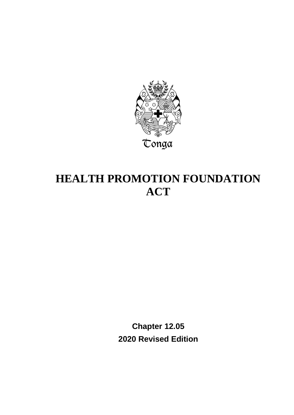

# **HEALTH PROMOTION FOUNDATION ACT**

**Chapter 12.05 2020 Revised Edition**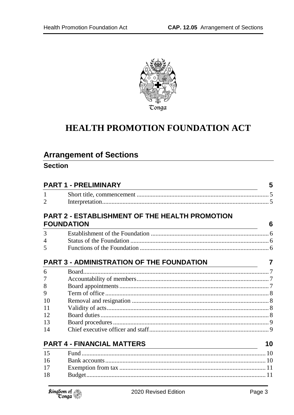

# **HEALTH PROMOTION FOUNDATION ACT**

# **Arrangement of Sections**

#### **Section**

| <b>PART 1 - PRELIMINARY</b> |                                                                                                                                                           |    |
|-----------------------------|-----------------------------------------------------------------------------------------------------------------------------------------------------------|----|
| $\mathbf{1}$                |                                                                                                                                                           |    |
| $\overline{2}$              |                                                                                                                                                           |    |
|                             | <b>PART 2 - ESTABLISHMENT OF THE HEALTH PROMOTION</b><br><b>FOUNDATION</b>                                                                                | 6  |
|                             | <u> 1989 - Andrea Barbara, Amerikaansk politiker (d. 1989)</u>                                                                                            |    |
| 3<br>$\overline{4}$         |                                                                                                                                                           |    |
| 5                           |                                                                                                                                                           |    |
|                             | <b>PART 3 - ADMINISTRATION OF THE FOUNDATION</b>                                                                                                          | 7  |
| 6                           |                                                                                                                                                           |    |
| 7                           |                                                                                                                                                           |    |
| 8                           |                                                                                                                                                           |    |
| 9                           |                                                                                                                                                           |    |
| 10                          |                                                                                                                                                           |    |
| 11                          |                                                                                                                                                           |    |
| 12                          |                                                                                                                                                           |    |
| 13                          |                                                                                                                                                           |    |
| 14                          |                                                                                                                                                           |    |
|                             | <b>PART 4 - FINANCIAL MATTERS</b><br><u> 1989 - Johann Barn, mars ann an t-Amhain Aonaich an t-Aonaich an t-Aonaich ann an t-Aonaich ann an t-Aonaich</u> | 10 |
| 15                          |                                                                                                                                                           |    |
| 16                          |                                                                                                                                                           |    |
| 17                          |                                                                                                                                                           |    |
| 18                          |                                                                                                                                                           |    |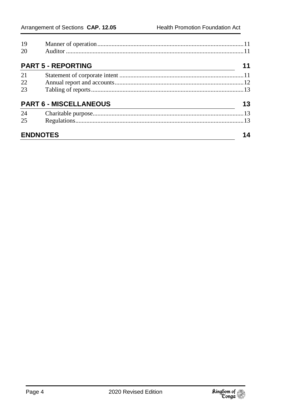| 19              |                               |    |
|-----------------|-------------------------------|----|
| 20              |                               |    |
|                 | <b>PART 5 - REPORTING</b>     |    |
| 21              |                               |    |
| 22              |                               |    |
| 23              |                               |    |
|                 | <b>PART 6 - MISCELLANEOUS</b> | 13 |
| 24              |                               |    |
| 25              |                               |    |
| <b>ENDNOTES</b> |                               |    |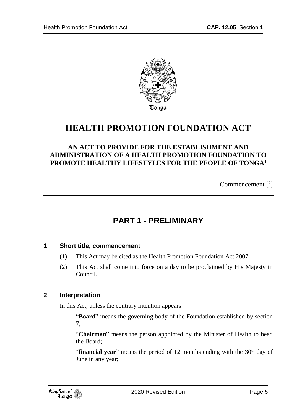

# **HEALTH PROMOTION FOUNDATION ACT**

#### **AN ACT TO PROVIDE FOR THE ESTABLISHMENT AND ADMINISTRATION OF A HEALTH PROMOTION FOUNDATION TO PROMOTE HEALTHY LIFESTYLES FOR THE PEOPLE OF TONGA**<sup>1</sup>

Commencement [ **2** ]

# **PART 1 - PRELIMINARY**

#### <span id="page-4-1"></span><span id="page-4-0"></span>**1 Short title, commencement**

- (1) This Act may be cited as the Health Promotion Foundation Act 2007.
- (2) This Act shall come into force on a day to be proclaimed by His Majesty in Council.

#### <span id="page-4-2"></span>**2 Interpretation**

In this Act, unless the contrary intention appears —

"**Board**" means the governing body of the Foundation established by section 7;

"**Chairman**" means the person appointed by the Minister of Health to head the Board;

"**financial year**" means the period of 12 months ending with the 30<sup>th</sup> day of June in any year;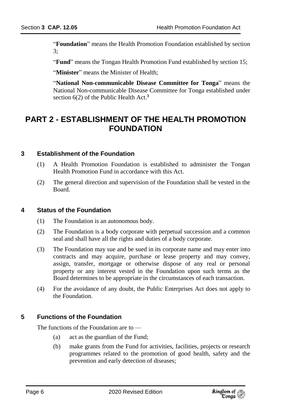"**Foundation**" means the Health Promotion Foundation established by section 3;

"**Fund**" means the Tongan Health Promotion Fund established by section 15;

"**Minister**" means the Minister of Health;

"**National Non-communicable Disease Committee for Tonga**" means the National Non-communicable Disease Committee for Tonga established under section 6(2) of the Public Health Act. **3**

### <span id="page-5-0"></span>**PART 2 - ESTABLISHMENT OF THE HEALTH PROMOTION FOUNDATION**

#### <span id="page-5-1"></span>**3 Establishment of the Foundation**

- (1) A Health Promotion Foundation is established to administer the Tongan Health Promotion Fund in accordance with this Act.
- (2) The general direction and supervision of the Foundation shall be vested in the Board.

#### <span id="page-5-2"></span>**4 Status of the Foundation**

- (1) The Foundation is an autonomous body.
- (2) The Foundation is a body corporate with perpetual succession and a common seal and shall have all the rights and duties of a body corporate.
- (3) The Foundation may sue and be sued in its corporate name and may enter into contracts and may acquire, purchase or lease property and may convey, assign, transfer, mortgage or otherwise dispose of any real or personal property or any interest vested in the Foundation upon such terms as the Board determines to be appropriate in the circumstances of each transaction.
- (4) For the avoidance of any doubt, the Public Enterprises Act does not apply to the Foundation.

#### <span id="page-5-3"></span>**5 Functions of the Foundation**

The functions of the Foundation are to —

- (a) act as the guardian of the Fund;
- (b) make grants from the Fund for activities, facilities, projects or research programmes related to the promotion of good health, safety and the prevention and early detection of diseases;

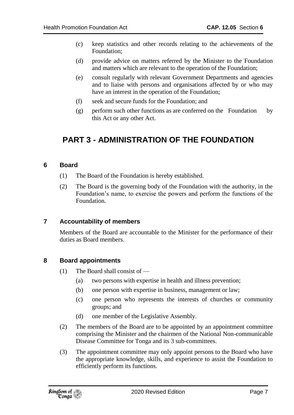- (c) keep statistics and other records relating to the achievements of the Foundation;
- (d) provide advice on matters referred by the Minister to the Foundation and matters which are relevant to the operation of the Foundation;
- (e) consult regularly with relevant Government Departments and agencies and to liaise with persons and organisations affected by or who may have an interest in the operation of the Foundation;
- (f) seek and secure funds for the Foundation; and
- (g) perform such other functions as are conferred on the Foundation by this Act or any other Act.

# <span id="page-6-0"></span>**PART 3 - ADMINISTRATION OF THE FOUNDATION**

#### <span id="page-6-1"></span>**6 Board**

- (1) The Board of the Foundation is hereby established.
- (2) The Board is the governing body of the Foundation with the authority, in the Foundation's name, to exercise the powers and perform the functions of the Foundation.

#### <span id="page-6-2"></span>**7 Accountability of members**

Members of the Board are accountable to the Minister for the performance of their duties as Board members.

#### <span id="page-6-3"></span>**8 Board appointments**

- (1) The Board shall consist of
	- (a) two persons with expertise in health and illness prevention;
	- (b) one person with expertise in business, management or law;
	- (c) one person who represents the interests of churches or community groups; and
	- (d) one member of the Legislative Assembly.
- (2) The members of the Board are to be appointed by an appointment committee comprising the Minister and the chairmen of the National Non-communicable Disease Committee for Tonga and its 3 sub-committees.
- (3) The appointment committee may only appoint persons to the Board who have the appropriate knowledge, skills, and experience to assist the Foundation to efficiently perform its functions.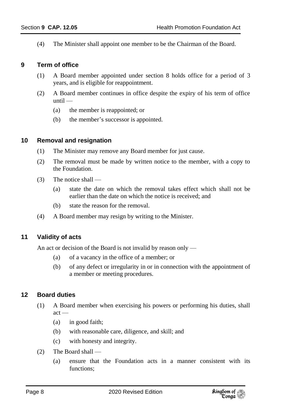(4) The Minister shall appoint one member to be the Chairman of the Board.

#### <span id="page-7-0"></span>**9 Term of office**

- (1) A Board member appointed under section 8 holds office for a period of 3 years, and is eligible for reappointment.
- (2) A Board member continues in office despite the expiry of his term of office  $until$ —
	- (a) the member is reappointed; or
	- (b) the member's successor is appointed.

#### <span id="page-7-1"></span>**10 Removal and resignation**

- (1) The Minister may remove any Board member for just cause.
- (2) The removal must be made by written notice to the member, with a copy to the Foundation.
- (3) The notice shall
	- (a) state the date on which the removal takes effect which shall not be earlier than the date on which the notice is received; and
	- (b) state the reason for the removal.
- (4) A Board member may resign by writing to the Minister.

#### <span id="page-7-2"></span>**11 Validity of acts**

An act or decision of the Board is not invalid by reason only —

- (a) of a vacancy in the office of a member; or
- (b) of any defect or irregularity in or in connection with the appointment of a member or meeting procedures.

#### <span id="page-7-3"></span>**12 Board duties**

- (1) A Board member when exercising his powers or performing his duties, shall  $act -$ 
	- (a) in good faith;
	- (b) with reasonable care, diligence, and skill; and
	- (c) with honesty and integrity.
- (2) The Board shall
	- (a) ensure that the Foundation acts in a manner consistent with its functions;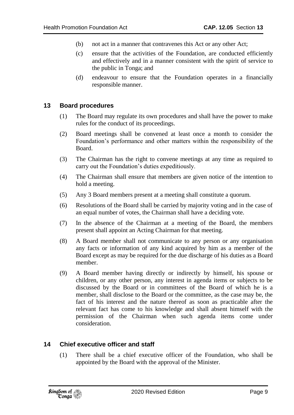- (b) not act in a manner that contravenes this Act or any other Act;
- (c) ensure that the activities of the Foundation, are conducted efficiently and effectively and in a manner consistent with the spirit of service to the public in Tonga; and
- (d) endeavour to ensure that the Foundation operates in a financially responsible manner.

#### <span id="page-8-0"></span>**13 Board procedures**

- (1) The Board may regulate its own procedures and shall have the power to make rules for the conduct of its proceedings.
- (2) Board meetings shall be convened at least once a month to consider the Foundation's performance and other matters within the responsibility of the Board.
- (3) The Chairman has the right to convene meetings at any time as required to carry out the Foundation's duties expeditiously.
- (4) The Chairman shall ensure that members are given notice of the intention to hold a meeting.
- (5) Any 3 Board members present at a meeting shall constitute a quorum.
- (6) Resolutions of the Board shall be carried by majority voting and in the case of an equal number of votes, the Chairman shall have a deciding vote.
- (7) In the absence of the Chairman at a meeting of the Board, the members present shall appoint an Acting Chairman for that meeting.
- (8) A Board member shall not communicate to any person or any organisation any facts or information of any kind acquired by him as a member of the Board except as may be required for the due discharge of his duties as a Board member.
- (9) A Board member having directly or indirectly by himself, his spouse or children, or any other person, any interest in agenda items or subjects to be discussed by the Board or in committees of the Board of which he is a member, shall disclose to the Board or the committee, as the case may be, the fact of his interest and the nature thereof as soon as practicable after the relevant fact has come to his knowledge and shall absent himself with the permission of the Chairman when such agenda items come under consideration.

#### <span id="page-8-1"></span>**14 Chief executive officer and staff**

(1) There shall be a chief executive officer of the Foundation, who shall be appointed by the Board with the approval of the Minister.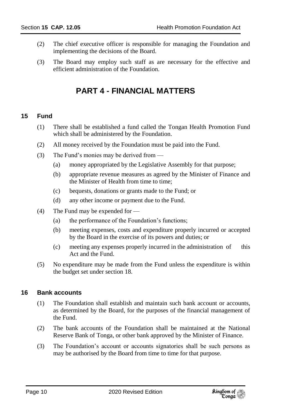- (2) The chief executive officer is responsible for managing the Foundation and implementing the decisions of the Board.
- <span id="page-9-0"></span>(3) The Board may employ such staff as are necessary for the effective and efficient administration of the Foundation.

## **PART 4 - FINANCIAL MATTERS**

#### <span id="page-9-1"></span>**15 Fund**

- (1) There shall be established a fund called the Tongan Health Promotion Fund which shall be administered by the Foundation.
- (2) All money received by the Foundation must be paid into the Fund.
- (3) The Fund's monies may be derived from  $-$ 
	- (a) money appropriated by the Legislative Assembly for that purpose;
	- (b) appropriate revenue measures as agreed by the Minister of Finance and the Minister of Health from time to time;
	- (c) bequests, donations or grants made to the Fund; or
	- (d) any other income or payment due to the Fund.
- (4) The Fund may be expended for
	- (a) the performance of the Foundation's functions;
	- (b) meeting expenses, costs and expenditure properly incurred or accepted by the Board in the exercise of its powers and duties; or
	- (c) meeting any expenses properly incurred in the administration of this Act and the Fund.
- (5) No expenditure may be made from the Fund unless the expenditure is within the budget set under section 18.

#### <span id="page-9-2"></span>**16 Bank accounts**

- (1) The Foundation shall establish and maintain such bank account or accounts, as determined by the Board, for the purposes of the financial management of the Fund.
- (2) The bank accounts of the Foundation shall be maintained at the National Reserve Bank of Tonga, or other bank approved by the Minister of Finance.
- (3) The Foundation's account or accounts signatories shall be such persons as may be authorised by the Board from time to time for that purpose.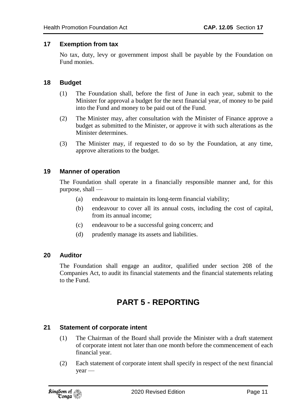#### <span id="page-10-0"></span>**17 Exemption from tax**

No tax, duty, levy or government impost shall be payable by the Foundation on Fund monies.

#### <span id="page-10-1"></span>**18 Budget**

- (1) The Foundation shall, before the first of June in each year, submit to the Minister for approval a budget for the next financial year, of money to be paid into the Fund and money to be paid out of the Fund.
- (2) The Minister may, after consultation with the Minister of Finance approve a budget as submitted to the Minister, or approve it with such alterations as the Minister determines.
- (3) The Minister may, if requested to do so by the Foundation, at any time, approve alterations to the budget.

#### <span id="page-10-2"></span>**19 Manner of operation**

The Foundation shall operate in a financially responsible manner and, for this purpose, shall —

- (a) endeavour to maintain its long-term financial viability;
- (b) endeavour to cover all its annual costs, including the cost of capital, from its annual income;
- (c) endeavour to be a successful going concern; and
- (d) prudently manage its assets and liabilities.

#### <span id="page-10-3"></span>**20 Auditor**

<span id="page-10-4"></span>The Foundation shall engage an auditor, qualified under section 208 of the Companies Act, to audit its financial statements and the financial statements relating to the Fund.

### **PART 5 - REPORTING**

#### <span id="page-10-5"></span>**21 Statement of corporate intent**

- (1) The Chairman of the Board shall provide the Minister with a draft statement of corporate intent not later than one month before the commencement of each financial year.
- (2) Each statement of corporate intent shall specify in respect of the next financial year —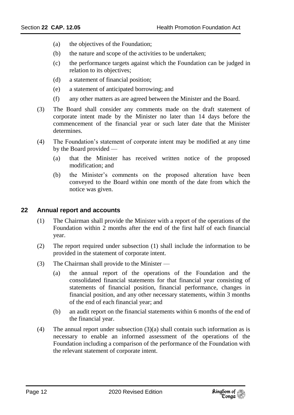- (a) the objectives of the Foundation;
- (b) the nature and scope of the activities to be undertaken;
- (c) the performance targets against which the Foundation can be judged in relation to its objectives;
- (d) a statement of financial position;
- (e) a statement of anticipated borrowing; and
- (f) any other matters as are agreed between the Minister and the Board.
- (3) The Board shall consider any comments made on the draft statement of corporate intent made by the Minister no later than 14 days before the commencement of the financial year or such later date that the Minister determines.
- (4) The Foundation's statement of corporate intent may be modified at any time by the Board provided —
	- (a) that the Minister has received written notice of the proposed modification; and
	- (b) the Minister's comments on the proposed alteration have been conveyed to the Board within one month of the date from which the notice was given.

#### <span id="page-11-0"></span>**22 Annual report and accounts**

- (1) The Chairman shall provide the Minister with a report of the operations of the Foundation within 2 months after the end of the first half of each financial year.
- (2) The report required under subsection (1) shall include the information to be provided in the statement of corporate intent.
- (3) The Chairman shall provide to the Minister
	- (a) the annual report of the operations of the Foundation and the consolidated financial statements for that financial year consisting of statements of financial position, financial performance, changes in financial position, and any other necessary statements, within 3 months of the end of each financial year; and
	- (b) an audit report on the financial statements within 6 months of the end of the financial year.
- (4) The annual report under subsection (3)(a) shall contain such information as is necessary to enable an informed assessment of the operations of the Foundation including a comparison of the performance of the Foundation with the relevant statement of corporate intent.

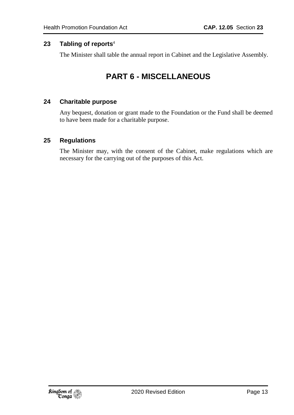#### <span id="page-12-1"></span><span id="page-12-0"></span>**23 Tabling of reports**<sup>4</sup>

The Minister shall table the annual report in Cabinet and the Legislative Assembly.

# **PART 6 - MISCELLANEOUS**

#### <span id="page-12-2"></span>**24 Charitable purpose**

Any bequest, donation or grant made to the Foundation or the Fund shall be deemed to have been made for a charitable purpose.

#### <span id="page-12-3"></span>**25 Regulations**

The Minister may, with the consent of the Cabinet, make regulations which are necessary for the carrying out of the purposes of this Act.